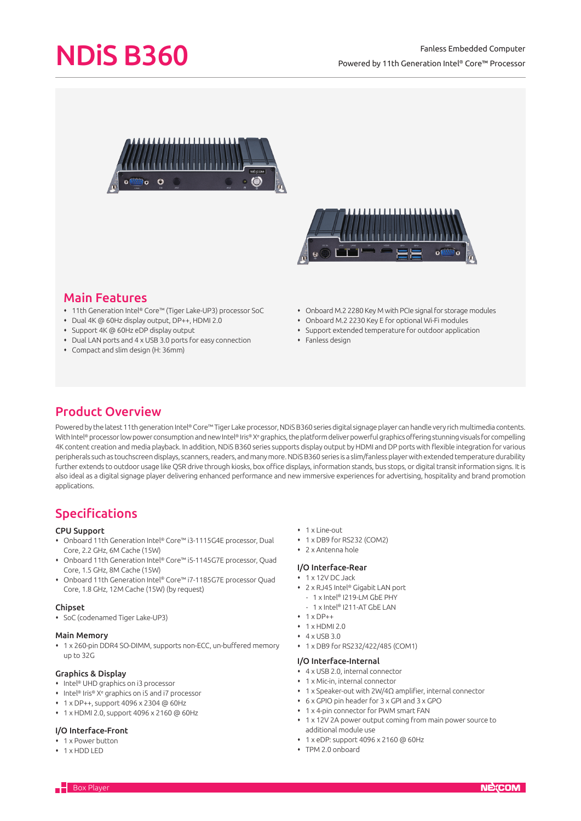# NDiS B360

# Fanless Embedded Computer Powered by 11th Generation Intel® Core™ Processor





# Main Features

- 11th Generation Intel® Core™ (Tiger Lake-UP3) processor SoC
- Dual 4K @ 60Hz display output, DP++, HDMI 2.0
- Support 4K @ 60Hz eDP display output
- Dual LAN ports and 4 x USB 3.0 ports for easy connection
- Compact and slim design (H: 36mm)
- Onboard M.2 2280 Key M with PCIe signal for storage modules
- Onboard M.2 2230 Key E for optional Wi-Fi modules
- Support extended temperature for outdoor application
- $\cdot$  Fanless design

# Product Overview

Powered by the latest 11th generation Intel® Core™ Tiger Lake processor. NDIS B360 series digital signage player can handle very rich multimedia contents. With Intel® processor low power consumption and new Intel® Iris® Xª graphics, the platform deliver powerful graphics offering stunning visuals for compelling 4K content creation and media playback. In addition, NDiS B360 series supports display output by HDMI and DP ports with flexible integration for various peripherals such as touchscreen displays, scanners, readers, and many more. NDiS B360 series is a slim/fanless player with extended temperature durability further extends to outdoor usage like QSR drive through kiosks, box office displays, information stands, bus stops, or digital transit information signs. It is also ideal as a digital signage player delivering enhanced performance and new immersive experiences for advertising, hospitality and brand promotion applications.

# Specifications

### CPU Support

- Onboard 11th Generation Intel® Core™ i3-1115G4E processor, Dual Core, 2.2 GHz, 6M Cache (15W)
- Onboard 11th Generation Intel® Core™ i5-1145G7E processor, Quad Core, 1.5 GHz, 8M Cache (15W)
- Onboard 11th Generation Intel® Core™ i7-1185G7E processor Quad Core, 1.8 GHz, 12M Cache (15W) (by request)

### Chipset

SoC (codenamed Tiger Lake-UP3)

### Main Memory

 1 x 260-pin DDR4 SO-DIMM, supports non-ECC, un-buffered memory up to 32G

## Graphics & Display

- Intel® UHD graphics on i3 processor
- Intel® Iris® X<sup>e</sup> graphics on i5 and i7 processor
- 1 x DP++, support 4096 x 2304 @ 60Hz
- 1 x HDMI 2.0, support 4096 x 2160 @ 60Hz

## I/O Interface-Front

- 1 x Power button
- 1 x HDD LED
- 1 x Line-out
- 1 x DB9 for RS232 (COM2)
- 2 x Antenna hole

### I/O Interface-Rear

- 1 x 12V DC Jack
- 2 x RJ45 Intel® Gigabit LAN port
- 1 x Intel® I219-LM GbE PHY
- 1 x Intel® I211-AT GbE LAN
- $+ 1 \times DP++$
- $+ 1$  x HDMI 2.0
- $4 \times IISB30$
- 1 x DB9 for RS232/422/485 (COM1)

#### I/O Interface-Internal

- 4 x USB 2.0, internal connector
- 1 x Mic-in, internal connector
- 1 x Speaker-out with 2W/4Ω amplifier, internal connector
- 6 x GPIO pin header for 3 x GPI and 3 x GPO
- 1 x 4-pin connector for PWM smart FAN
- 1 x 12V 2A power output coming from main power source to additional module use
- 1 x eDP: support 4096 x 2160 @ 60Hz
- TPM 2.0 onboard